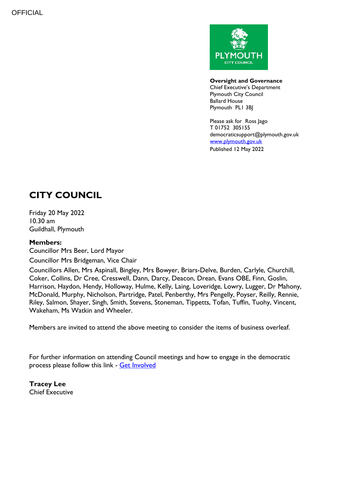

**Oversight and Governance** Chief Executive's Department Plymouth City Council Ballard House Plymouth PL1 3BJ

Please ask for Ross Jago T 01752 305155 democraticsupport@plymouth.gov.uk [www.plymouth.gov.uk](https://www.plymouth.gov.uk/councillorscommitteesandmeetings) Published 12 May 2022

## **CITY COUNCIL**

Friday 20 May 2022 10.30 am Guildhall, Plymouth

## **Members:**

Councillor Mrs Beer, Lord Mayor

Councillor Mrs Bridgeman, Vice Chair

Councillors Allen, Mrs Aspinall, Bingley, Mrs Bowyer, Briars-Delve, Burden, Carlyle, Churchill, Coker, Collins, Dr Cree, Cresswell, Dann, Darcy, Deacon, Drean, Evans OBE, Finn, Goslin, Harrison, Haydon, Hendy, Holloway, Hulme, Kelly, Laing, Loveridge, Lowry, Lugger, Dr Mahony, McDonald, Murphy, Nicholson, Partridge, Patel, Penberthy, Mrs Pengelly, Poyser, Reilly, Rennie, Riley, Salmon, Shayer, Singh, Smith, Stevens, Stoneman, Tippetts, Tofan, Tuffin, Tuohy, Vincent, Wakeham, Ms Watkin and Wheeler.

Members are invited to attend the above meeting to consider the items of business overleaf.

For further information on attending Council meetings and how to engage in the democratic process please follow this link - [Get Involved](https://www.plymouth.gov.uk/councillorscommitteesandmeetings/getinvolved)

**Tracey Lee** Chief Executive